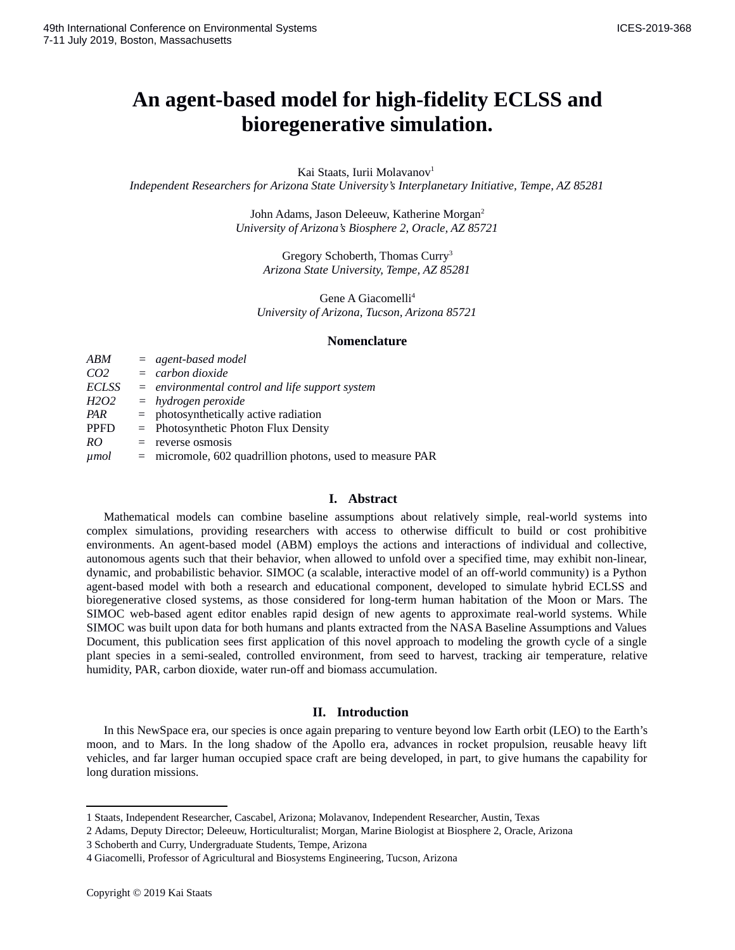# **An agent-based model for high-fidelity ECLSS and bioregenerative simulation.**

Kai Staats, Iurii Molavanov<sup>[1](#page-0-0)</sup>

*Independent Researchers for Arizona State University's Interplanetary Initiative, Tempe, AZ 85281*

John Adams, Jason Deleeuw, Katherine Morgan<sup>[2](#page-0-1)</sup> *University of Arizona's Biosphere 2, Oracle, AZ 85721*

> Gregory Schoberth, Thomas Curry<sup>[3](#page-0-2)</sup> *Arizona State University, Tempe, AZ 85281*

Gene A Giacomelli<sup>[4](#page-0-3)</sup> *University of Arizona, Tucson, Arizona 85721*

## **Nomenclature**

| ABM                           |     | $=$ agent-based model                                       |
|-------------------------------|-----|-------------------------------------------------------------|
| CO <sub>2</sub>               |     | $=$ carbon dioxide                                          |
| ECLSS                         |     | $=$ environmental control and life support system           |
| H <sub>2</sub> O <sub>2</sub> |     | $=$ hydrogen peroxide                                       |
| PAR                           |     | $=$ photosynthetically active radiation                     |
| <b>PPFD</b>                   |     | = Photosynthetic Photon Flux Density                        |
| RO                            | $=$ | reverse osmosis                                             |
| <i>µmol</i>                   |     | $=$ micromole, 602 quadrillion photons, used to measure PAR |

#### **I. Abstract**

Mathematical models can combine baseline assumptions about relatively simple, real-world systems into complex simulations, providing researchers with access to otherwise difficult to build or cost prohibitive environments. An agent-based model (ABM) employs the actions and interactions of individual and collective, autonomous agents such that their behavior, when allowed to unfold over a specified time, may exhibit non-linear, dynamic, and probabilistic behavior. SIMOC (a scalable, interactive model of an off-world community) is a Python agent-based model with both a research and educational component, developed to simulate hybrid ECLSS and bioregenerative closed systems, as those considered for long-term human habitation of the Moon or Mars. The SIMOC web-based agent editor enables rapid design of new agents to approximate real-world systems. While SIMOC was built upon data for both humans and plants extracted from the NASA Baseline Assumptions and Values Document, this publication sees first application of this novel approach to modeling the growth cycle of a single plant species in a semi-sealed, controlled environment, from seed to harvest, tracking air temperature, relative humidity, PAR, carbon dioxide, water run-off and biomass accumulation.

# **II. Introduction**

In this NewSpace era, our species is once again preparing to venture beyond low Earth orbit (LEO) to the Earth's moon, and to Mars. In the long shadow of the Apollo era, advances in rocket propulsion, reusable heavy lift vehicles, and far larger human occupied space craft are being developed, in part, to give humans the capability for long duration missions.

<span id="page-0-0"></span><sup>1</sup> Staats, Independent Researcher, Cascabel, Arizona; Molavanov, Independent Researcher, Austin, Texas

<span id="page-0-1"></span><sup>2</sup> Adams, Deputy Director; Deleeuw, Horticulturalist; Morgan, Marine Biologist at Biosphere 2, Oracle, Arizona

<span id="page-0-2"></span><sup>3</sup> Schoberth and Curry, Undergraduate Students, Tempe, Arizona

<span id="page-0-3"></span><sup>4</sup> Giacomelli, Professor of Agricultural and Biosystems Engineering, Tucson, Arizona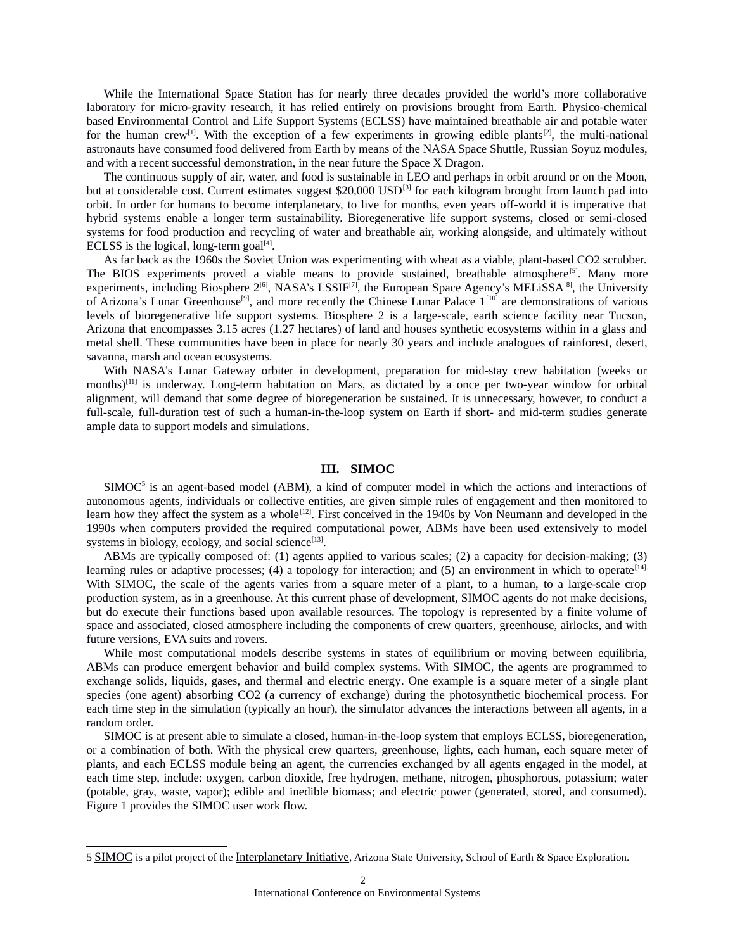While the International Space Station has for nearly three decades provided the world's more collaborative laboratory for micro-gravity research, it has relied entirely on provisions brought from Earth. Physico-chemical based Environmental Control and Life Support Systems (ECLSS) have maintained breathable air and potable water for the human crew<sup>[1]</sup>. With the exception of a few experiments in growing edible plants<sup>[2]</sup>, the multi-national astronauts have consumed food delivered from Earth by means of the NASA Space Shuttle, Russian Soyuz modules, and with a recent successful demonstration, in the near future the Space X Dragon.

The continuous supply of air, water, and food is sustainable in LEO and perhaps in orbit around or on the Moon, but at considerable cost. Current estimates suggest \$20,000 USD<sup>[3]</sup> for each kilogram brought from launch pad into orbit. In order for humans to become interplanetary, to live for months, even years off-world it is imperative that hybrid systems enable a longer term sustainability. Bioregenerative life support systems, closed or semi-closed systems for food production and recycling of water and breathable air, working alongside, and ultimately without ECLSS is the logical, long-term goal $^{[4]}$ .

As far back as the 1960s the Soviet Union was experimenting with wheat as a viable, plant-based CO2 scrubber. The BIOS experiments proved a viable means to provide sustained, breathable atmosphere<sup>[5]</sup>. Many more experiments, including Biosphere  $2^{[6]}$ , NASA's LSSIF<sup>[7]</sup>, the European Space Agency's MELiSSA<sup>[8]</sup>, the University of Arizona's Lunar Greenhouse<sup>[9]</sup>, and more recently the Chinese Lunar Palace 1<sup>[10]</sup> are demonstrations of various levels of bioregenerative life support systems. Biosphere 2 is a large-scale, earth science facility near Tucson, Arizona that encompasses 3.15 acres (1.27 hectares) of land and houses synthetic ecosystems within in a glass and metal shell. These communities have been in place for nearly 30 years and include analogues of rainforest, desert, savanna, marsh and ocean ecosystems.

With NASA's Lunar Gateway orbiter in development, preparation for mid-stay crew habitation (weeks or months)<sup>[11]</sup> is underway. Long-term habitation on Mars, as dictated by a once per two-year window for orbital alignment, will demand that some degree of bioregeneration be sustained. It is unnecessary, however, to conduct a full-scale, full-duration test of such a human-in-the-loop system on Earth if short- and mid-term studies generate ample data to support models and simulations.

# **III. SIMOC**

SIMOC<sup>[5](#page-1-0)</sup> is an agent-based model (ABM), a kind of computer model in which the actions and interactions of autonomous agents, individuals or collective entities, are given simple rules of engagement and then monitored to learn how they affect the system as a whole<sup>[12]</sup>. First conceived in the 1940s by Von Neumann and developed in the 1990s when computers provided the required computational power, ABMs have been used extensively to model systems in biology, ecology, and social science $^{[13]}$ .

ABMs are typically composed of: (1) agents applied to various scales; (2) a capacity for decision-making; (3) learning rules or adaptive processes; (4) a topology for interaction; and (5) an environment in which to operate<sup>[14].</sup> With SIMOC, the scale of the agents varies from a square meter of a plant, to a human, to a large-scale crop production system, as in a greenhouse. At this current phase of development, SIMOC agents do not make decisions, but do execute their functions based upon available resources. The topology is represented by a finite volume of space and associated, closed atmosphere including the components of crew quarters, greenhouse, airlocks, and with future versions, EVA suits and rovers.

While most computational models describe systems in states of equilibrium or moving between equilibria, ABMs can produce emergent behavior and build complex systems. With SIMOC, the agents are programmed to exchange solids, liquids, gases, and thermal and electric energy. One example is a square meter of a single plant species (one agent) absorbing CO2 (a currency of exchange) during the photosynthetic biochemical process. For each time step in the simulation (typically an hour), the simulator advances the interactions between all agents, in a random order.

SIMOC is at present able to simulate a closed, human-in-the-loop system that employs ECLSS, bioregeneration, or a combination of both. With the physical crew quarters, greenhouse, lights, each human, each square meter of plants, and each ECLSS module being an agent, the currencies exchanged by all agents engaged in the model, at each time step, include: oxygen, carbon dioxide, free hydrogen, methane, nitrogen, phosphorous, potassium; water (potable, gray, waste, vapor); edible and inedible biomass; and electric power (generated, stored, and consumed). Figure 1 provides the SIMOC user work flow.

<span id="page-1-0"></span><sup>5</sup> [SIMOC](https://simoc.space/) is a pilot project of the [Interplanetary Initiative](https://interplanetary.asu.edu/), Arizona State University, School of Earth & Space Exploration.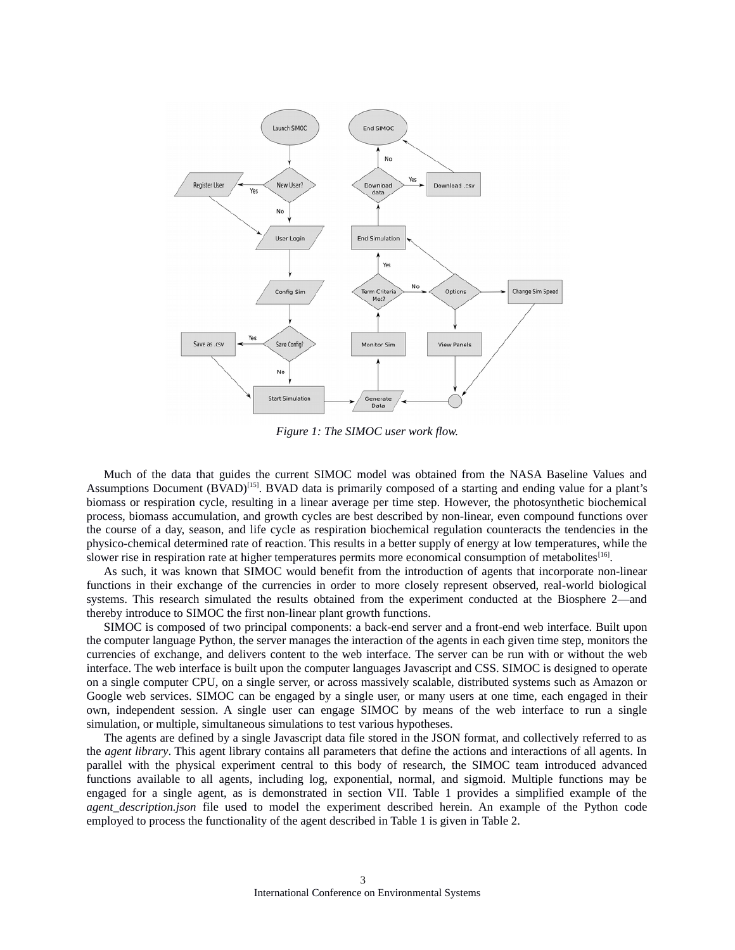

*Figure 1: The SIMOC user work flow.*

Much of the data that guides the current SIMOC model was obtained from the NASA Baseline Values and Assumptions Document (BVAD)<sup>[15]</sup>. BVAD data is primarily composed of a starting and ending value for a plant's biomass or respiration cycle, resulting in a linear average per time step. However, the photosynthetic biochemical process, biomass accumulation, and growth cycles are best described by non-linear, even compound functions over the course of a day, season, and life cycle as respiration biochemical regulation counteracts the tendencies in the physico-chemical determined rate of reaction. This results in a better supply of energy at low temperatures, while the slower rise in respiration rate at higher temperatures permits more economical consumption of metabolites<sup>[16]</sup>.

As such, it was known that SIMOC would benefit from the introduction of agents that incorporate non-linear functions in their exchange of the currencies in order to more closely represent observed, real-world biological systems. This research simulated the results obtained from the experiment conducted at the Biosphere 2—and thereby introduce to SIMOC the first non-linear plant growth functions.

SIMOC is composed of two principal components: a back-end server and a front-end web interface. Built upon the computer language Python, the server manages the interaction of the agents in each given time step, monitors the currencies of exchange, and delivers content to the web interface. The server can be run with or without the web interface. The web interface is built upon the computer languages Javascript and CSS. SIMOC is designed to operate on a single computer CPU, on a single server, or across massively scalable, distributed systems such as Amazon or Google web services. SIMOC can be engaged by a single user, or many users at one time, each engaged in their own, independent session. A single user can engage SIMOC by means of the web interface to run a single simulation, or multiple, simultaneous simulations to test various hypotheses.

The agents are defined by a single Javascript data file stored in the JSON format, and collectively referred to as the *agent library*. This agent library contains all parameters that define the actions and interactions of all agents. In parallel with the physical experiment central to this body of research, the SIMOC team introduced advanced functions available to all agents, including log, exponential, normal, and sigmoid. Multiple functions may be engaged for a single agent, as is demonstrated in section VII. Table 1 provides a simplified example of the *agent\_description.json* file used to model the experiment described herein. An example of the Python code employed to process the functionality of the agent described in Table 1 is given in Table 2.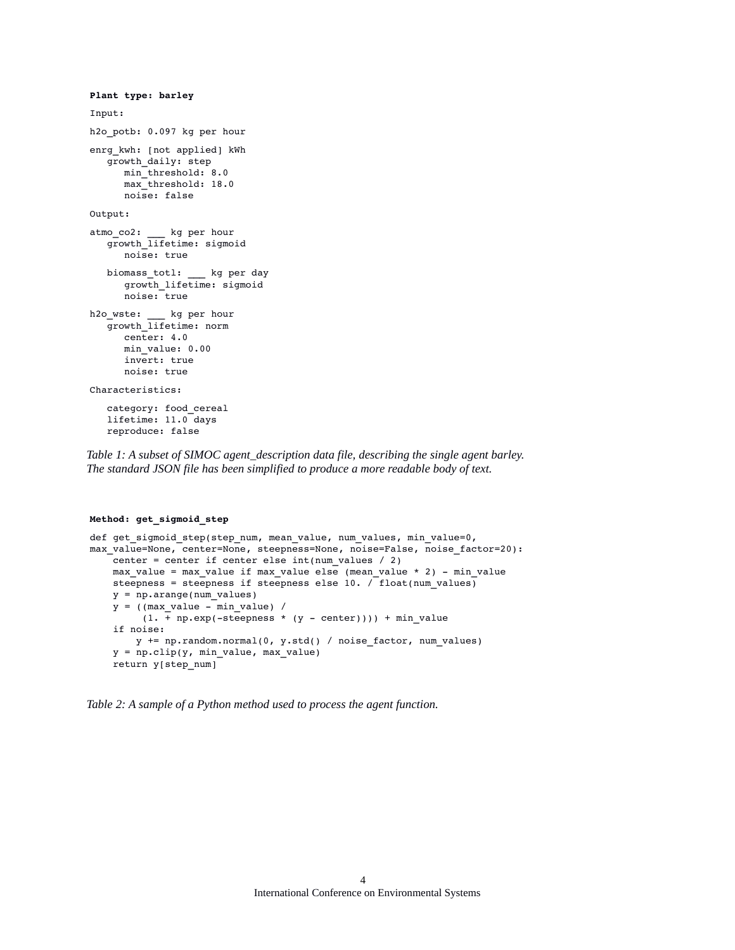```
Plant type: barley
Input:
h2o_potb: 0.097 kg per hour
enrg_kwh: [not applied] kWh
  growth_daily: step
     min_threshold: 8.0
      max_threshold: 18.0
      noise: false
Output:
atmo_co2: ___ kg per hour
   growth lifetime: sigmoid
     noise: true
   biomass_totl: ___ kg per day
      growth_lifetime: sigmoid
      noise: true
h2o_wste: ___ kg per hour
   growth_lifetime: norm
     center: 4.0
     min_value: 0.00
     invert: true
     noise: true
Characteristics:
   category: food_cereal
   lifetime: 11.0 days
   reproduce: false
```
*Table 1: A subset of SIMOC agent\_description data file, describing the single agent barley. The standard JSON file has been simplified to produce a more readable body of text.*

#### **Method: get\_sigmoid\_step**

```
def get_sigmoid_step(step_num, mean_value, num_values, min_value=0,
max_value=None, center=None, steepness=None, noise=False, noise_factor=20):
   center = center if center else int(num values / 2)
   max_value = max_value if max_value else (mean_value * 2) - min_valuesteepness = steepness if steepness else 10. / float(num_values)
        y = np.arange(num_values)
    y = ((max_value -\overline{min\_value}) /
        (1. + np.exp(-steepness * (y - center)))) + min_value    if noise:
               y += np.random.normal(0, y.std() / noise_factor, num_values)
        y = np.clip(y, min_value, max_value)
        return y[step_num]
```
*Table 2: A sample of a Python method used to process the agent function.*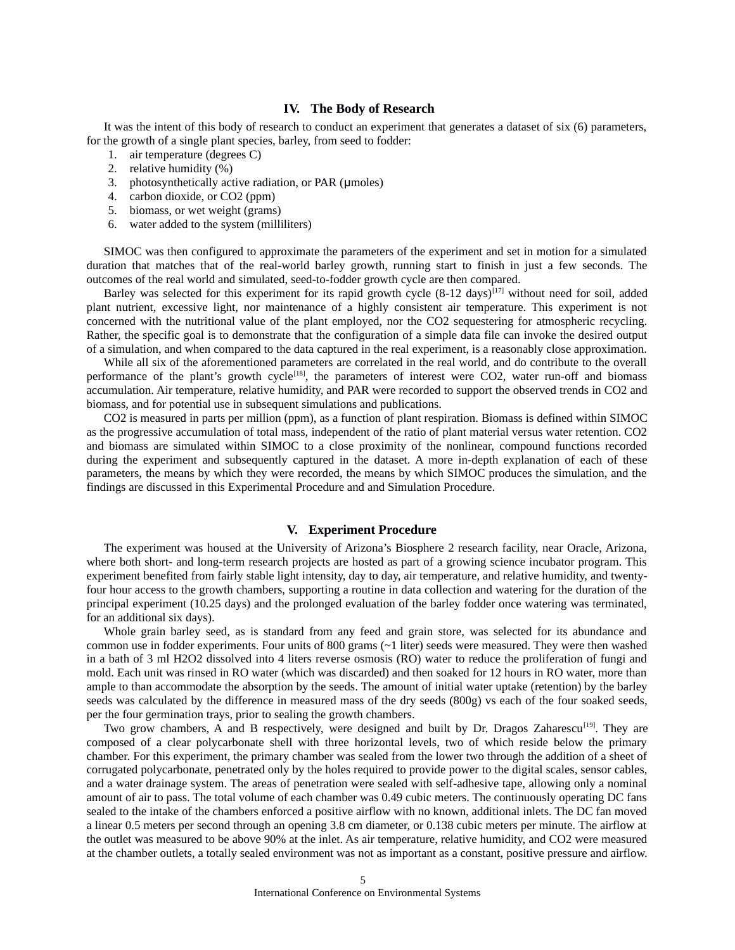# **IV. The Body of Research**

It was the intent of this body of research to conduct an experiment that generates a dataset of six (6) parameters, for the growth of a single plant species, barley, from seed to fodder:

- 1. air temperature (degrees C)
- 2. relative humidity (%)
- 3. photosynthetically active radiation, or PAR (umoles)
- 4. carbon dioxide, or CO2 (ppm)
- 5. biomass, or wet weight (grams)
- 6. water added to the system (milliliters)

SIMOC was then configured to approximate the parameters of the experiment and set in motion for a simulated duration that matches that of the real-world barley growth, running start to finish in just a few seconds. The outcomes of the real world and simulated, seed-to-fodder growth cycle are then compared.

Barley was selected for this experiment for its rapid growth cycle  $(8-12 \text{ days})^{[17]}$  without need for soil, added plant nutrient, excessive light, nor maintenance of a highly consistent air temperature. This experiment is not concerned with the nutritional value of the plant employed, nor the CO2 sequestering for atmospheric recycling. Rather, the specific goal is to demonstrate that the configuration of a simple data file can invoke the desired output of a simulation, and when compared to the data captured in the real experiment, is a reasonably close approximation.

While all six of the aforementioned parameters are correlated in the real world, and do contribute to the overall performance of the plant's growth cycle<sup>[18]</sup>, the parameters of interest were CO2, water run-off and biomass accumulation. Air temperature, relative humidity, and PAR were recorded to support the observed trends in CO2 and biomass, and for potential use in subsequent simulations and publications.

CO2 is measured in parts per million (ppm), as a function of plant respiration. Biomass is defined within SIMOC as the progressive accumulation of total mass, independent of the ratio of plant material versus water retention. CO2 and biomass are simulated within SIMOC to a close proximity of the nonlinear, compound functions recorded during the experiment and subsequently captured in the dataset. A more in-depth explanation of each of these parameters, the means by which they were recorded, the means by which SIMOC produces the simulation, and the findings are discussed in this Experimental Procedure and and Simulation Procedure.

#### **V. Experiment Procedure**

The experiment was housed at the University of Arizona's Biosphere 2 research facility, near Oracle, Arizona, where both short- and long-term research projects are hosted as part of a growing science incubator program. This experiment benefited from fairly stable light intensity, day to day, air temperature, and relative humidity, and twentyfour hour access to the growth chambers, supporting a routine in data collection and watering for the duration of the principal experiment (10.25 days) and the prolonged evaluation of the barley fodder once watering was terminated, for an additional six days).

Whole grain barley seed, as is standard from any feed and grain store, was selected for its abundance and common use in fodder experiments. Four units of 800 grams  $(\sim 1)$  liter) seeds were measured. They were then washed in a bath of 3 ml H2O2 dissolved into 4 liters reverse osmosis (RO) water to reduce the proliferation of fungi and mold. Each unit was rinsed in RO water (which was discarded) and then soaked for 12 hours in RO water, more than ample to than accommodate the absorption by the seeds. The amount of initial water uptake (retention) by the barley seeds was calculated by the difference in measured mass of the dry seeds (800g) vs each of the four soaked seeds, per the four germination trays, prior to sealing the growth chambers.

Two grow chambers, A and B respectively, were designed and built by Dr. Dragos Zaharescu<sup>[19]</sup>. They are composed of a clear polycarbonate shell with three horizontal levels, two of which reside below the primary chamber. For this experiment, the primary chamber was sealed from the lower two through the addition of a sheet of corrugated polycarbonate, penetrated only by the holes required to provide power to the digital scales, sensor cables, and a water drainage system. The areas of penetration were sealed with self-adhesive tape, allowing only a nominal amount of air to pass. The total volume of each chamber was 0.49 cubic meters. The continuously operating DC fans sealed to the intake of the chambers enforced a positive airflow with no known, additional inlets. The DC fan moved a linear 0.5 meters per second through an opening 3.8 cm diameter, or 0.138 cubic meters per minute. The airflow at the outlet was measured to be above 90% at the inlet. As air temperature, relative humidity, and CO2 were measured at the chamber outlets, a totally sealed environment was not as important as a constant, positive pressure and airflow.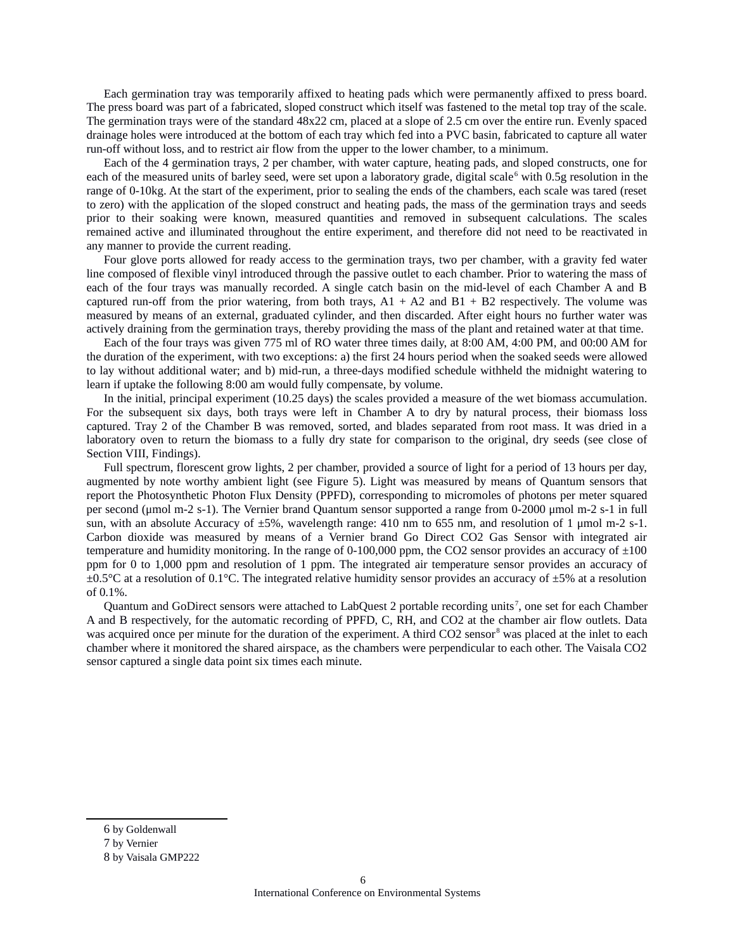Each germination tray was temporarily affixed to heating pads which were permanently affixed to press board. The press board was part of a fabricated, sloped construct which itself was fastened to the metal top tray of the scale. The germination trays were of the standard 48x22 cm, placed at a slope of 2.5 cm over the entire run. Evenly spaced drainage holes were introduced at the bottom of each tray which fed into a PVC basin, fabricated to capture all water run-off without loss, and to restrict air flow from the upper to the lower chamber, to a minimum.

Each of the 4 germination trays, 2 per chamber, with water capture, heating pads, and sloped constructs, one for each of the measured units of barley seed, were set upon a laboratory grade, digital scale<sup>[6](#page-5-0)</sup> with 0.5g resolution in the range of 0-10kg. At the start of the experiment, prior to sealing the ends of the chambers, each scale was tared (reset to zero) with the application of the sloped construct and heating pads, the mass of the germination trays and seeds prior to their soaking were known, measured quantities and removed in subsequent calculations. The scales remained active and illuminated throughout the entire experiment, and therefore did not need to be reactivated in any manner to provide the current reading.

Four glove ports allowed for ready access to the germination trays, two per chamber, with a gravity fed water line composed of flexible vinyl introduced through the passive outlet to each chamber. Prior to watering the mass of each of the four trays was manually recorded. A single catch basin on the mid-level of each Chamber A and B captured run-off from the prior watering, from both trays,  $A1 + A2$  and  $B1 + B2$  respectively. The volume was measured by means of an external, graduated cylinder, and then discarded. After eight hours no further water was actively draining from the germination trays, thereby providing the mass of the plant and retained water at that time.

Each of the four trays was given 775 ml of RO water three times daily, at 8:00 AM, 4:00 PM, and 00:00 AM for the duration of the experiment, with two exceptions: a) the first 24 hours period when the soaked seeds were allowed to lay without additional water; and b) mid-run, a three-days modified schedule withheld the midnight watering to learn if uptake the following 8:00 am would fully compensate, by volume.

In the initial, principal experiment (10.25 days) the scales provided a measure of the wet biomass accumulation. For the subsequent six days, both trays were left in Chamber A to dry by natural process, their biomass loss captured. Tray 2 of the Chamber B was removed, sorted, and blades separated from root mass. It was dried in a laboratory oven to return the biomass to a fully dry state for comparison to the original, dry seeds (see close of Section VIII, Findings).

Full spectrum, florescent grow lights, 2 per chamber, provided a source of light for a period of 13 hours per day, augmented by note worthy ambient light (see Figure 5). Light was measured by means of Quantum sensors that report the Photosynthetic Photon Flux Density (PPFD), corresponding to micromoles of photons per meter squared per second (μmol m-2 s-1). The Vernier brand Quantum sensor supported a range from 0-2000 μmol m-2 s-1 in full sun, with an absolute Accuracy of ±5%, wavelength range: 410 nm to 655 nm, and resolution of 1 μmol m-2 s-1. Carbon dioxide was measured by means of a Vernier brand Go Direct CO2 Gas Sensor with integrated air temperature and humidity monitoring. In the range of 0-100,000 ppm, the CO2 sensor provides an accuracy of  $\pm 100$ ppm for 0 to 1,000 ppm and resolution of 1 ppm. The integrated air temperature sensor provides an accuracy of  $\pm 0.5^{\circ}$ C at a resolution of 0.1°C. The integrated relative humidity sensor provides an accuracy of  $\pm 5\%$  at a resolution of 0.1%.

Quantum and GoDirect sensors were attached to LabQuest 2 portable recording units<sup>[7](#page-5-1)</sup>, one set for each Chamber A and B respectively, for the automatic recording of PPFD, C, RH, and CO2 at the chamber air flow outlets. Data was acquired once per minute for the duration of the experiment. A third CO2 sensor<sup>[8](#page-5-2)</sup> was placed at the inlet to each chamber where it monitored the shared airspace, as the chambers were perpendicular to each other. The Vaisala CO2 sensor captured a single data point six times each minute.

<span id="page-5-0"></span><sup>6</sup> by Goldenwall

<span id="page-5-1"></span><sup>7</sup> by Vernier

<span id="page-5-2"></span><sup>8</sup> by Vaisala GMP222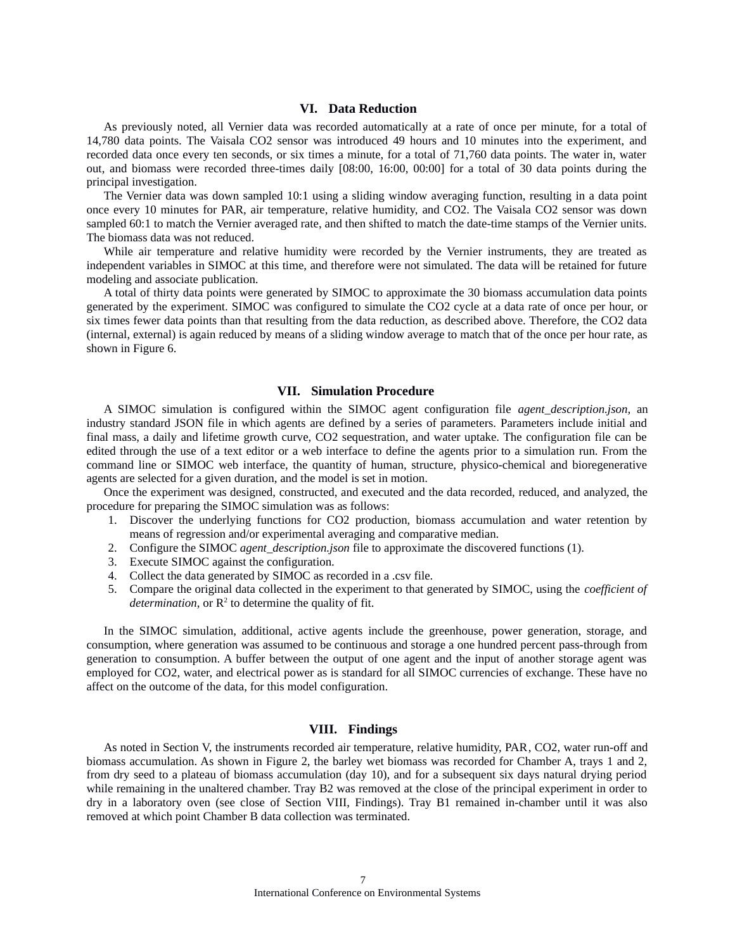# **VI. Data Reduction**

As previously noted, all Vernier data was recorded automatically at a rate of once per minute, for a total of 14,780 data points. The Vaisala CO2 sensor was introduced 49 hours and 10 minutes into the experiment, and recorded data once every ten seconds, or six times a minute, for a total of 71,760 data points. The water in, water out, and biomass were recorded three-times daily [08:00, 16:00, 00:00] for a total of 30 data points during the principal investigation.

The Vernier data was down sampled 10:1 using a sliding window averaging function, resulting in a data point once every 10 minutes for PAR, air temperature, relative humidity, and CO2. The Vaisala CO2 sensor was down sampled 60:1 to match the Vernier averaged rate, and then shifted to match the date-time stamps of the Vernier units. The biomass data was not reduced.

While air temperature and relative humidity were recorded by the Vernier instruments, they are treated as independent variables in SIMOC at this time, and therefore were not simulated. The data will be retained for future modeling and associate publication.

A total of thirty data points were generated by SIMOC to approximate the 30 biomass accumulation data points generated by the experiment. SIMOC was configured to simulate the CO2 cycle at a data rate of once per hour, or six times fewer data points than that resulting from the data reduction, as described above. Therefore, the CO2 data (internal, external) is again reduced by means of a sliding window average to match that of the once per hour rate, as shown in Figure 6.

## **VII. Simulation Procedure**

A SIMOC simulation is configured within the SIMOC agent configuration file *agent\_description.json,* an industry standard JSON file in which agents are defined by a series of parameters. Parameters include initial and final mass, a daily and lifetime growth curve, CO2 sequestration, and water uptake. The configuration file can be edited through the use of a text editor or a web interface to define the agents prior to a simulation run. From the command line or SIMOC web interface, the quantity of human, structure, physico-chemical and bioregenerative agents are selected for a given duration, and the model is set in motion.

Once the experiment was designed, constructed, and executed and the data recorded, reduced, and analyzed, the procedure for preparing the SIMOC simulation was as follows:

- 1. Discover the underlying functions for CO2 production, biomass accumulation and water retention by means of regression and/or experimental averaging and comparative median.
- 2. Configure the SIMOC *agent\_description.json* file to approximate the discovered functions (1).
- 3. Execute SIMOC against the configuration.
- 4. Collect the data generated by SIMOC as recorded in a .csv file.
- 5. Compare the original data collected in the experiment to that generated by SIMOC, using the *coefficient of determination*, or  $R^2$  to determine the quality of fit.

In the SIMOC simulation, additional, active agents include the greenhouse, power generation, storage, and consumption, where generation was assumed to be continuous and storage a one hundred percent pass-through from generation to consumption. A buffer between the output of one agent and the input of another storage agent was employed for CO2, water, and electrical power as is standard for all SIMOC currencies of exchange. These have no affect on the outcome of the data, for this model configuration.

# **VIII. Findings**

As noted in Section V, the instruments recorded air temperature, relative humidity, PAR, CO2, water run-off and biomass accumulation. As shown in Figure 2, the barley wet biomass was recorded for Chamber A, trays 1 and 2, from dry seed to a plateau of biomass accumulation (day 10), and for a subsequent six days natural drying period while remaining in the unaltered chamber. Tray B2 was removed at the close of the principal experiment in order to dry in a laboratory oven (see close of Section VIII, Findings). Tray B1 remained in-chamber until it was also removed at which point Chamber B data collection was terminated.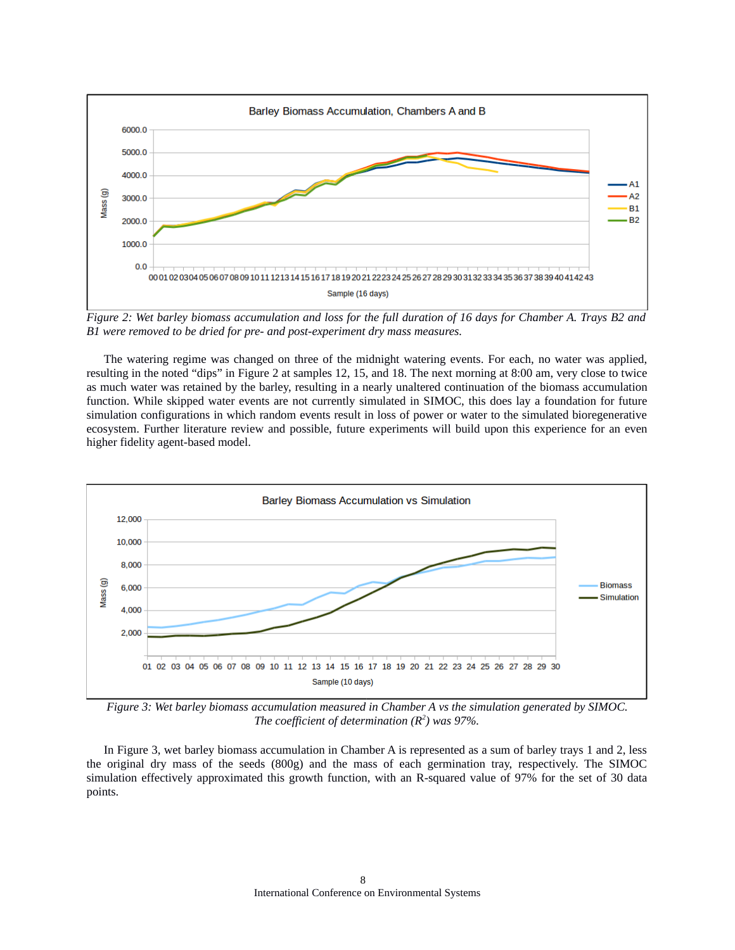

*Figure 2: Wet barley biomass accumulation and loss for the full duration of 16 days for Chamber A. Trays B2 and B1 were removed to be dried for pre- and post-experiment dry mass measures.*

The watering regime was changed on three of the midnight watering events. For each, no water was applied, resulting in the noted "dips" in Figure 2 at samples 12, 15, and 18. The next morning at 8:00 am, very close to twice as much water was retained by the barley, resulting in a nearly unaltered continuation of the biomass accumulation function. While skipped water events are not currently simulated in SIMOC, this does lay a foundation for future simulation configurations in which random events result in loss of power or water to the simulated bioregenerative ecosystem. Further literature review and possible, future experiments will build upon this experience for an even higher fidelity agent-based model.



*Figure 3: Wet barley biomass accumulation measured in Chamber A vs the simulation generated by SIMOC. The coefficient of determination (R<sup>2</sup> ) was 97%.*

In Figure 3, wet barley biomass accumulation in Chamber A is represented as a sum of barley trays 1 and 2, less the original dry mass of the seeds (800g) and the mass of each germination tray, respectively. The SIMOC simulation effectively approximated this growth function, with an R-squared value of 97% for the set of 30 data points.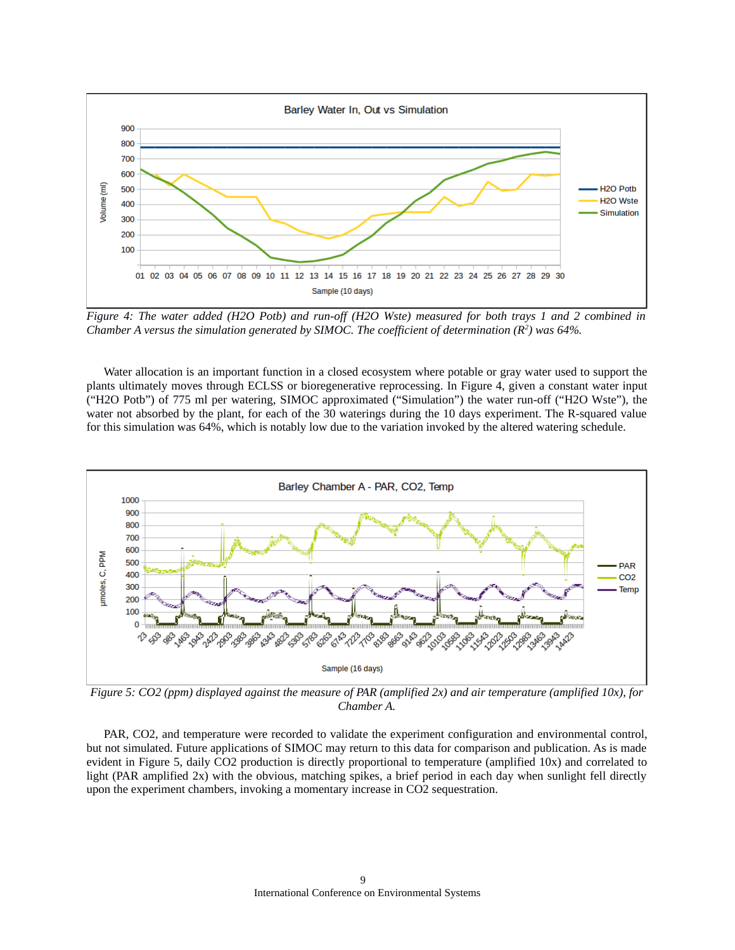

*Figure 4: The water added (H2O Potb) and run-off (H2O Wste) measured for both trays 1 and 2 combined in Chamber A versus the simulation generated by SIMOC. The coefficient of determination (R<sup>2</sup> ) was 64%.*

Water allocation is an important function in a closed ecosystem where potable or gray water used to support the plants ultimately moves through ECLSS or bioregenerative reprocessing. In Figure 4, given a constant water input ("H2O Potb") of 775 ml per watering, SIMOC approximated ("Simulation") the water run-off ("H2O Wste"), the water not absorbed by the plant, for each of the 30 waterings during the 10 days experiment. The R-squared value for this simulation was 64%, which is notably low due to the variation invoked by the altered watering schedule.



*Figure 5: CO2 (ppm) displayed against the measure of PAR (amplified 2x) and air temperature (amplified 10x), for Chamber A.*

PAR, CO2, and temperature were recorded to validate the experiment configuration and environmental control, but not simulated. Future applications of SIMOC may return to this data for comparison and publication. As is made evident in Figure 5, daily CO2 production is directly proportional to temperature (amplified 10x) and correlated to light (PAR amplified 2x) with the obvious, matching spikes, a brief period in each day when sunlight fell directly upon the experiment chambers, invoking a momentary increase in CO2 sequestration.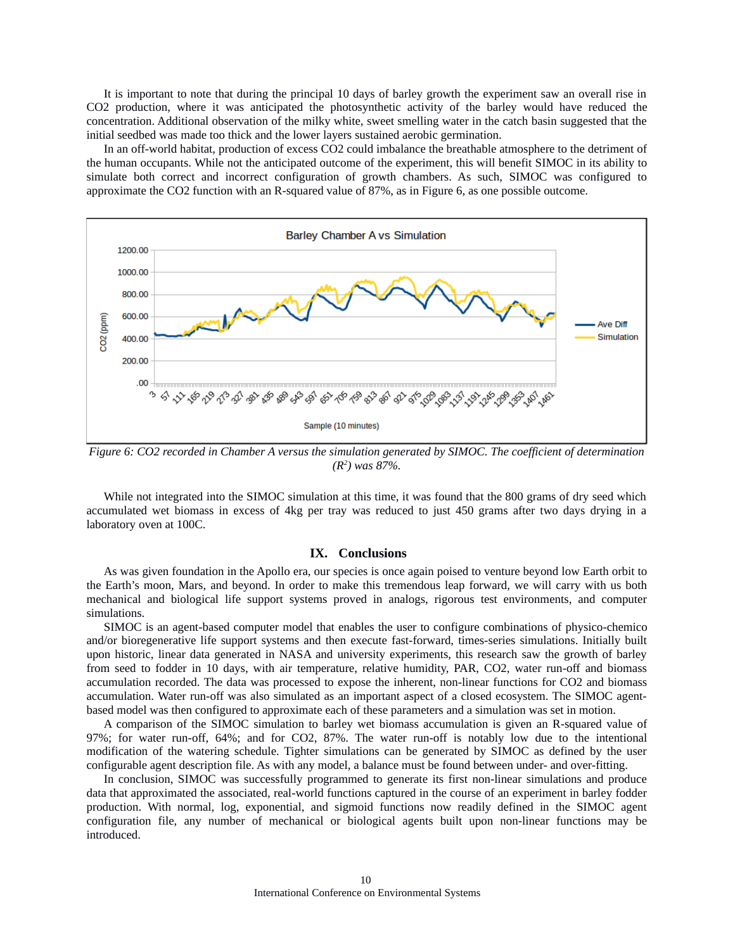It is important to note that during the principal 10 days of barley growth the experiment saw an overall rise in CO2 production, where it was anticipated the photosynthetic activity of the barley would have reduced the concentration. Additional observation of the milky white, sweet smelling water in the catch basin suggested that the initial seedbed was made too thick and the lower layers sustained aerobic germination.

In an off-world habitat, production of excess CO2 could imbalance the breathable atmosphere to the detriment of the human occupants. While not the anticipated outcome of the experiment, this will benefit SIMOC in its ability to simulate both correct and incorrect configuration of growth chambers. As such, SIMOC was configured to approximate the CO2 function with an R-squared value of 87%, as in Figure 6, as one possible outcome.



*Figure 6: CO2 recorded in Chamber A versus the simulation generated by SIMOC. The coefficient of determination (R<sup>2</sup> ) was 87%.*

While not integrated into the SIMOC simulation at this time, it was found that the 800 grams of dry seed which accumulated wet biomass in excess of 4kg per tray was reduced to just 450 grams after two days drying in a laboratory oven at 100C.

# **IX. Conclusions**

As was given foundation in the Apollo era, our species is once again poised to venture beyond low Earth orbit to the Earth's moon, Mars, and beyond. In order to make this tremendous leap forward, we will carry with us both mechanical and biological life support systems proved in analogs, rigorous test environments, and computer simulations.

SIMOC is an agent-based computer model that enables the user to configure combinations of physico-chemico and/or bioregenerative life support systems and then execute fast-forward, times-series simulations. Initially built upon historic, linear data generated in NASA and university experiments, this research saw the growth of barley from seed to fodder in 10 days, with air temperature, relative humidity, PAR, CO2, water run-off and biomass accumulation recorded. The data was processed to expose the inherent, non-linear functions for CO2 and biomass accumulation. Water run-off was also simulated as an important aspect of a closed ecosystem. The SIMOC agentbased model was then configured to approximate each of these parameters and a simulation was set in motion.

A comparison of the SIMOC simulation to barley wet biomass accumulation is given an R-squared value of 97%; for water run-off, 64%; and for CO2, 87%. The water run-off is notably low due to the intentional modification of the watering schedule. Tighter simulations can be generated by SIMOC as defined by the user configurable agent description file. As with any model, a balance must be found between under- and over-fitting.

In conclusion, SIMOC was successfully programmed to generate its first non-linear simulations and produce data that approximated the associated, real-world functions captured in the course of an experiment in barley fodder production. With normal, log, exponential, and sigmoid functions now readily defined in the SIMOC agent configuration file, any number of mechanical or biological agents built upon non-linear functions may be introduced.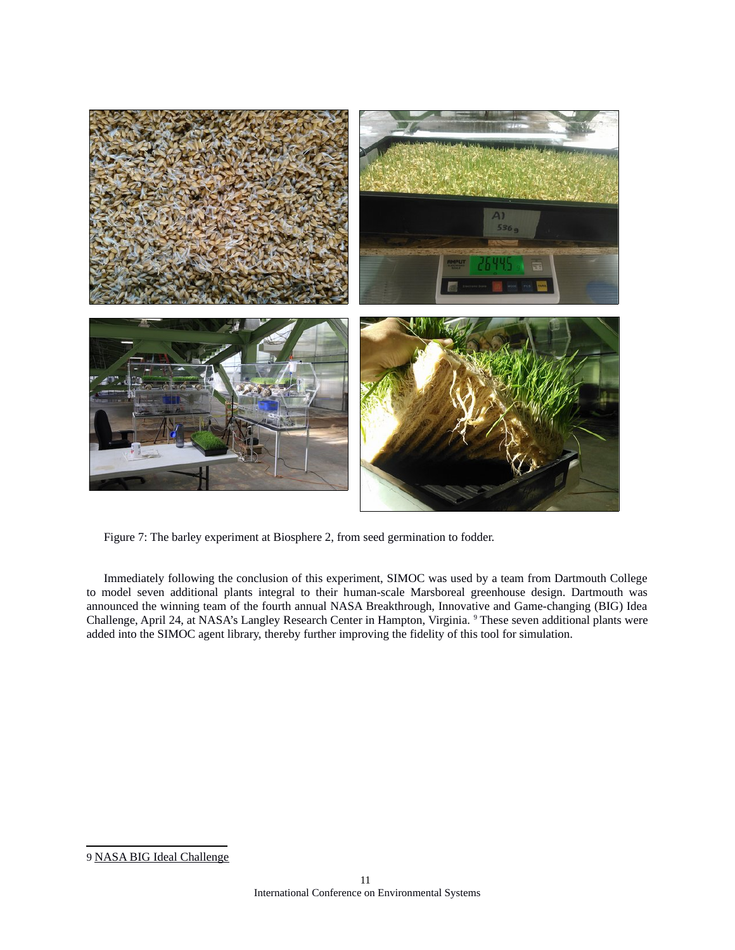

Figure 7: The barley experiment at Biosphere 2, from seed germination to fodder.

Immediately following the conclusion of this experiment, SIMOC was used by a team from Dartmouth College to model seven additional plants integral to their human-scale Marsboreal greenhouse design. Dartmouth was announced the winning team of the fourth annual NASA Breakthrough, Innovative and Game-changing (BIG) Idea Challenge, April 24, at NASA's Langley Research Center in Hampton, Virginia. <sup>[9](#page-10-0)</sup> These seven additional plants were added into the SIMOC agent library, thereby further improving the fidelity of this tool for simulation.

<span id="page-10-0"></span><sup>9</sup> [NASA BIG Ideal Challenge](https://www.nasa.gov/feature/langley/nasa-s-2019-big-idea-challenge-winner-designs-best-planetary-greenhouse)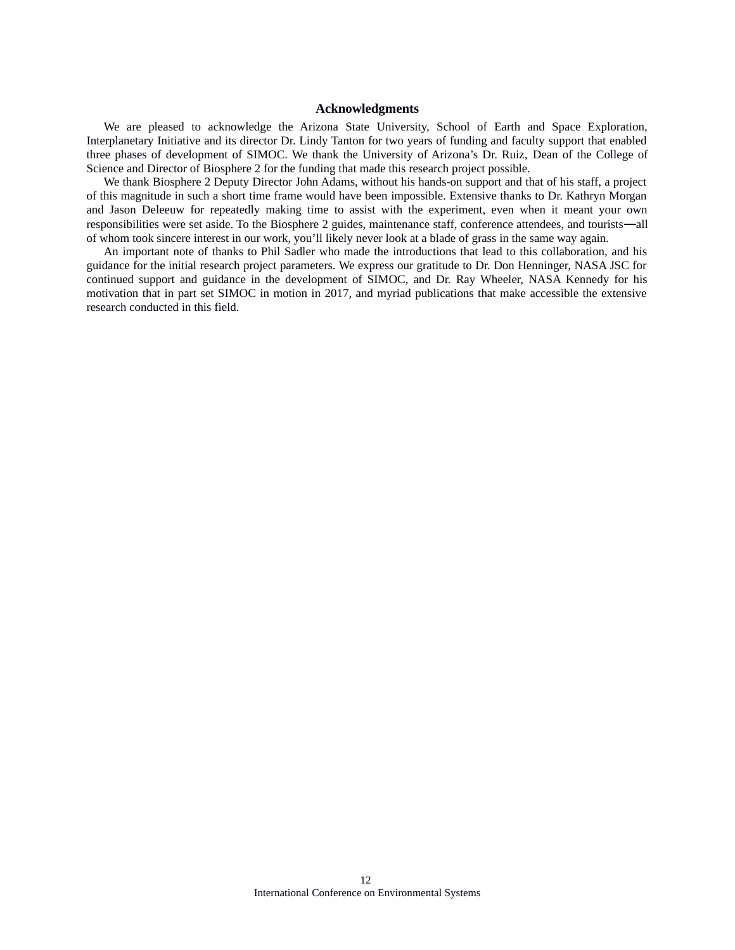## **Acknowledgments**

We are pleased to acknowledge the Arizona State University, School of Earth and Space Exploration, Interplanetary Initiative and its director Dr. Lindy Tanton for two years of funding and faculty support that enabled three phases of development of SIMOC. We thank the University of Arizona's Dr. Ruiz, Dean of the College of Science and Director of Biosphere 2 for the funding that made this research project possible.

We thank Biosphere 2 Deputy Director John Adams, without his hands-on support and that of his staff, a project of this magnitude in such a short time frame would have been impossible. Extensive thanks to Dr. Kathryn Morgan and Jason Deleeuw for repeatedly making time to assist with the experiment, even when it meant your own responsibilities were set aside. To the Biosphere 2 guides, maintenance staff, conference attendees, and tourists—all of whom took sincere interest in our work, you'll likely never look at a blade of grass in the same way again.

An important note of thanks to Phil Sadler who made the introductions that lead to this collaboration, and his guidance for the initial research project parameters. We express our gratitude to Dr. Don Henninger, NASA JSC for continued support and guidance in the development of SIMOC, and Dr. Ray Wheeler, NASA Kennedy for his motivation that in part set SIMOC in motion in 2017, and myriad publications that make accessible the extensive research conducted in this field.